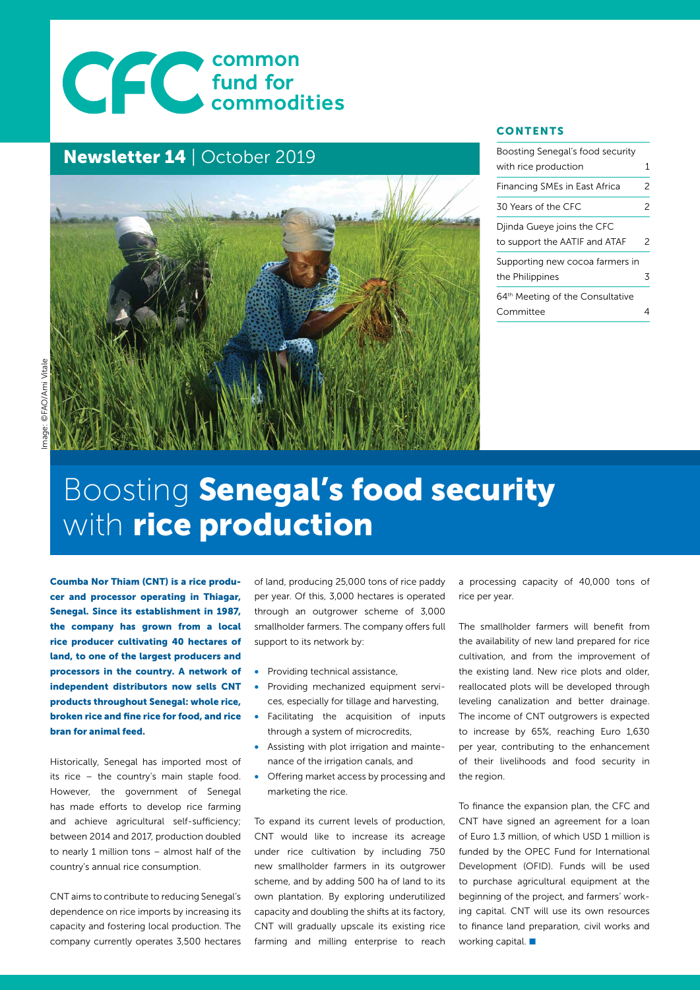# CCC common<br>Commodities

### Newsletter 14 | October 2019



#### **CONTENTS**

| Boosting Senegal's food security                            |               |
|-------------------------------------------------------------|---------------|
| with rice production                                        | 1             |
| Financing SMEs in East Africa                               | $\mathcal{P}$ |
| 30 Years of the CFC                                         | 2             |
| Djinda Gueye joins the CFC<br>to support the AATIF and ATAF | 2             |
| Supporting new cocoa farmers in<br>the Philippines          |               |
| 64 <sup>th</sup> Meeting of the Consultative<br>Committee   |               |

## Boosting Senegal's food security with rice production

Coumba Nor Thiam (CNT) is a rice producer and processor operating in Thiagar, Senegal. Since its establishment in 1987, the company has grown from a local rice producer cultivating 40 hectares of land, to one of the largest producers and processors in the country. A network of independent distributors now sells CNT products throughout Senegal: whole rice, broken rice and fine rice for food, and rice bran for animal feed.

Historically, Senegal has imported most of its rice – the country's main staple food. However, the government of Senegal has made efforts to develop rice farming and achieve agricultural self-sufficiency; between 2014 and 2017, production doubled to nearly 1 million tons – almost half of the country's annual rice consumption.

CNT aims to contribute to reducing Senegal's dependence on rice imports by increasing its capacity and fostering local production. The company currently operates 3,500 hectares

of land, producing 25,000 tons of rice paddy per year. Of this, 3,000 hectares is operated through an outgrower scheme of 3,000 smallholder farmers. The company offers full support to its network by:

- Providing technical assistance,
- Providing mechanized equipment services, especially for tillage and harvesting,
- Facilitating the acquisition of inputs through a system of microcredits,
- Assisting with plot irrigation and maintenance of the irrigation canals, and
- Offering market access by processing and marketing the rice.

To expand its current levels of production, CNT would like to increase its acreage under rice cultivation by including 750 new smallholder farmers in its outgrower scheme, and by adding 500 ha of land to its own plantation. By exploring underutilized capacity and doubling the shifts at its factory, CNT will gradually upscale its existing rice farming and milling enterprise to reach

a processing capacity of 40,000 tons of rice per year.

The smallholder farmers will benefit from the availability of new land prepared for rice cultivation, and from the improvement of the existing land. New rice plots and older, reallocated plots will be developed through leveling canalization and better drainage. The income of CNT outgrowers is expected to increase by 65%, reaching Euro 1,630 per year, contributing to the enhancement of their livelihoods and food security in the region.

To finance the expansion plan, the CFC and CNT have signed an agreement for a loan of Euro 1.3 million, of which USD 1 million is funded by the OPEC Fund for International Development (OFID). Funds will be used to purchase agricultural equipment at the beginning of the project, and farmers' working capital. CNT will use its own resources to finance land preparation, civil works and working capital.  $\blacksquare$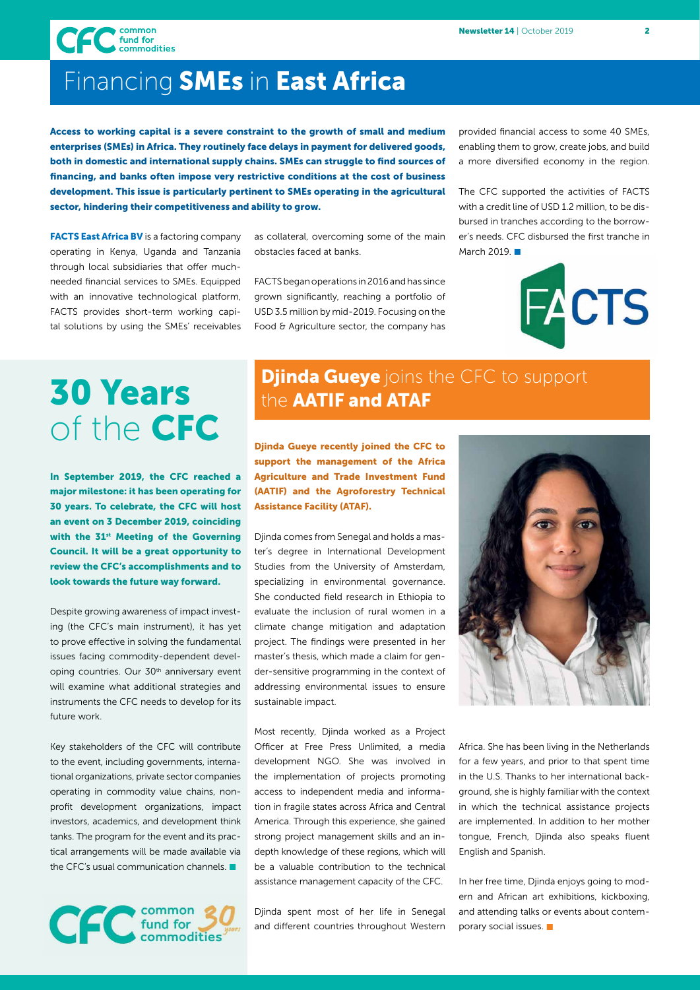CFC fund for<br>commodities

### Financing SMEs in East Africa

Access to working capital is a severe constraint to the growth of small and medium enterprises (SMEs) in Africa. They routinely face delays in payment for delivered goods, both in domestic and international supply chains. SMEs can struggle to find sources of financing, and banks often impose very restrictive conditions at the cost of business development. This issue is particularly pertinent to SMEs operating in the agricultural sector, hindering their competitiveness and ability to grow.

FACTS East Africa BV is a factoring company operating in Kenya, Uganda and Tanzania through local subsidiaries that offer muchneeded financial services to SMEs. Equipped with an innovative technological platform, FACTS provides short-term working capital solutions by using the SMEs' receivables as collateral, overcoming some of the main obstacles faced at banks.

FACTS began operations in 2016 and has since grown significantly, reaching a portfolio of USD 3.5 million by mid-2019. Focusing on the Food & Agriculture sector, the company has

provided financial access to some 40 SMEs, enabling them to grow, create jobs, and build a more diversified economy in the region.

The CFC supported the activities of FACTS with a credit line of USD 1.2 million, to be disbursed in tranches according to the borrower's needs. CFC disbursed the first tranche in March 2019 $\blacksquare$ 



# 30 Years of the CFC

In September 2019, the CFC reached a major milestone: it has been operating for 30 years. To celebrate, the CFC will host an event on 3 December 2019, coinciding with the 31<sup>st</sup> Meeting of the Governing Council. It will be a great opportunity to review the CFC's accomplishments and to look towards the future way forward.

Despite growing awareness of impact investing (the CFC's main instrument), it has yet to prove effective in solving the fundamental issues facing commodity-dependent developing countries. Our 30<sup>th</sup> anniversary event will examine what additional strategies and instruments the CFC needs to develop for its future work.

Key stakeholders of the CFC will contribute to the event, including governments, international organizations, private sector companies operating in commodity value chains, nonprofit development organizations, impact investors, academics, and development think tanks. The program for the event and its practical arrangements will be made available via the CFC's usual communication channels.



### **Djinda Gueye** joins the CFC to support the AATIF and ATAF

Djinda Gueye recently joined the CFC to support the management of the Africa Agriculture and Trade Investment Fund (AATIF) and the Agroforestry Technical Assistance Facility (ATAF).

Djinda comes from Senegal and holds a master's degree in International Development Studies from the University of Amsterdam, specializing in environmental governance. She conducted field research in Ethiopia to evaluate the inclusion of rural women in a climate change mitigation and adaptation project. The findings were presented in her master's thesis, which made a claim for gender-sensitive programming in the context of addressing environmental issues to ensure sustainable impact.

Most recently, Djinda worked as a Project Officer at Free Press Unlimited, a media development NGO. She was involved in the implementation of projects promoting access to independent media and information in fragile states across Africa and Central America. Through this experience, she gained strong project management skills and an indepth knowledge of these regions, which will be a valuable contribution to the technical assistance management capacity of the CFC.

Djinda spent most of her life in Senegal and different countries throughout Western

Africa. She has been living in the Netherlands for a few years, and prior to that spent time in the U.S. Thanks to her international background, she is highly familiar with the context in which the technical assistance projects are implemented. In addition to her mother tongue, French, Djinda also speaks fluent English and Spanish.

In her free time, Djinda enjoys going to modern and African art exhibitions, kickboxing, and attending talks or events about contemporary social issues.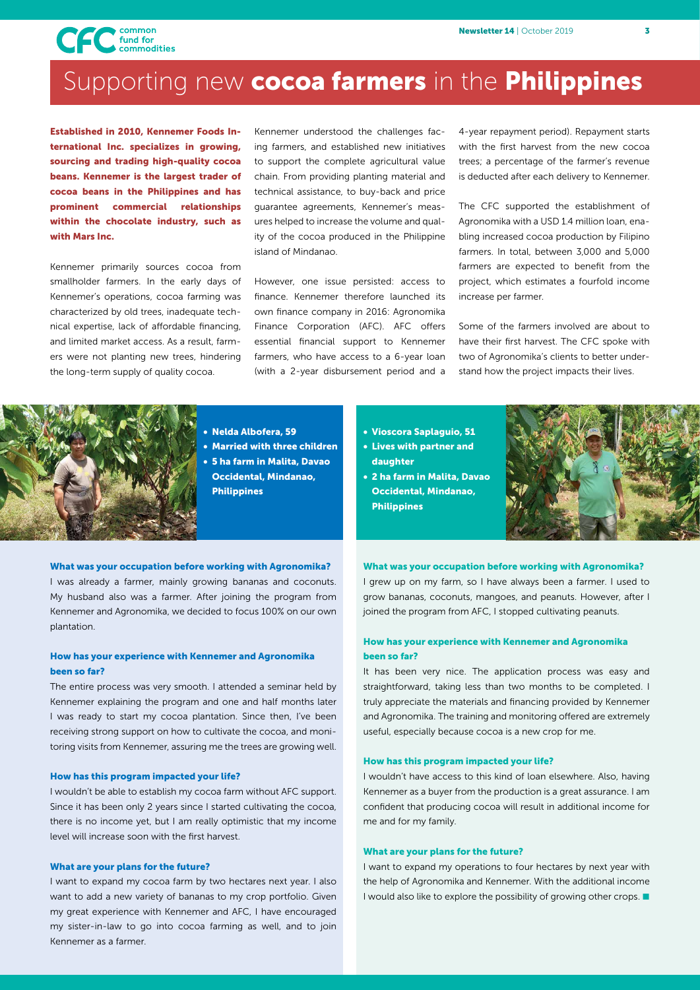

### Supporting new cocoa farmers in the Philippines

Established in 2010, Kennemer Foods International Inc. specializes in growing, sourcing and trading high-quality cocoa beans. Kennemer is the largest trader of cocoa beans in the Philippines and has prominent commercial relationships within the chocolate industry, such as with Mars Inc.

Kennemer primarily sources cocoa from smallholder farmers. In the early days of Kennemer's operations, cocoa farming was characterized by old trees, inadequate technical expertise, lack of affordable financing, and limited market access. As a result, farmers were not planting new trees, hindering the long-term supply of quality cocoa.

Kennemer understood the challenges facing farmers, and established new initiatives to support the complete agricultural value chain. From providing planting material and technical assistance, to buy-back and price guarantee agreements, Kennemer's measures helped to increase the volume and quality of the cocoa produced in the Philippine island of Mindanao.

However, one issue persisted: access to finance. Kennemer therefore launched its own finance company in 2016: Agronomika Finance Corporation (AFC). AFC offers essential financial support to Kennemer farmers, who have access to a 6-year loan (with a 2-year disbursement period and a

4-year repayment period). Repayment starts with the first harvest from the new cocoa trees; a percentage of the farmer's revenue is deducted after each delivery to Kennemer.

The CFC supported the establishment of Agronomika with a USD 1.4 million loan, enabling increased cocoa production by Filipino farmers. In total, between 3,000 and 5,000 farmers are expected to benefit from the project, which estimates a fourfold income increase per farmer.

Some of the farmers involved are about to have their first harvest. The CFC spoke with two of Agronomika's clients to better understand how the project impacts their lives.



#### • Nelda Albofera, 59

- Married with three children
- 5 ha farm in Malita, Davao Occidental, Mindanao, **Philippines**

#### What was your occupation before working with Agronomika?

I was already a farmer, mainly growing bananas and coconuts. My husband also was a farmer. After joining the program from Kennemer and Agronomika, we decided to focus 100% on our own plantation.

#### How has your experience with Kennemer and Agronomika been so far?

The entire process was very smooth. I attended a seminar held by Kennemer explaining the program and one and half months later I was ready to start my cocoa plantation. Since then, I've been receiving strong support on how to cultivate the cocoa, and monitoring visits from Kennemer, assuring me the trees are growing well.

#### How has this program impacted your life?

I wouldn't be able to establish my cocoa farm without AFC support. Since it has been only 2 years since I started cultivating the cocoa, there is no income yet, but I am really optimistic that my income level will increase soon with the first harvest.

#### What are your plans for the future?

I want to expand my cocoa farm by two hectares next year. I also want to add a new variety of bananas to my crop portfolio. Given my great experience with Kennemer and AFC, I have encouraged my sister-in-law to go into cocoa farming as well, and to join Kennemer as a farmer.

- Vioscora Saplaguio, 51 • Lives with partner and
- daughter
- 2 ha farm in Malita, Davao Occidental, Mindanao, Philippines



#### What was your occupation before working with Agronomika?

I grew up on my farm, so I have always been a farmer. I used to grow bananas, coconuts, mangoes, and peanuts. However, after I joined the program from AFC, I stopped cultivating peanuts.

#### How has your experience with Kennemer and Agronomika been so far?

It has been very nice. The application process was easy and straightforward, taking less than two months to be completed. I truly appreciate the materials and financing provided by Kennemer and Agronomika. The training and monitoring offered are extremely useful, especially because cocoa is a new crop for me.

#### How has this program impacted your life?

I wouldn't have access to this kind of loan elsewhere. Also, having Kennemer as a buyer from the production is a great assurance. I am confident that producing cocoa will result in additional income for me and for my family.

#### What are your plans for the future?

I want to expand my operations to four hectares by next year with the help of Agronomika and Kennemer. With the additional income I would also like to explore the possibility of growing other crops. ■